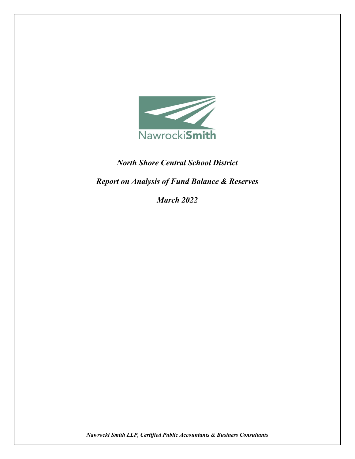

## *North Shore Central School District*

*Report on Analysis of Fund Balance & Reserves* 

*March 2022*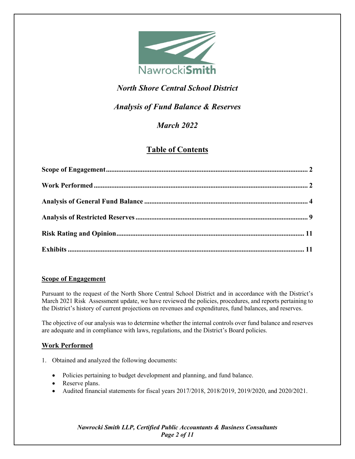

# *North Shore Central School District*

## *Analysis of Fund Balance & Reserves*

# *March 2022*

## **Table of Contents**

## <span id="page-1-0"></span>**Scope of Engagement**

Pursuant to the request of the North Shore Central School District and in accordance with the District's March 2021 Risk Assessment update, we have reviewed the policies, procedures, and reports pertaining to the District's history of current projections on revenues and expenditures, fund balances, and reserves.

The objective of our analysis was to determine whether the internal controls over fund balance and reserves are adequate and in compliance with laws, regulations, and the District's Board policies.

## <span id="page-1-1"></span>**Work Performed**

- 1. Obtained and analyzed the following documents:
	- Policies pertaining to budget development and planning, and fund balance.
	- Reserve plans.
	- Audited financial statements for fiscal years 2017/2018, 2018/2019, 2019/2020, and 2020/2021.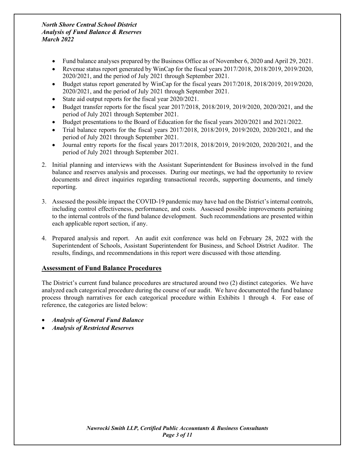- Fund balance analyses prepared by the Business Office as of November 6, 2020 and April 29, 2021.
- Revenue status report generated by WinCap for the fiscal years 2017/2018, 2018/2019, 2019/2020, 2020/2021, and the period of July 2021 through September 2021.
- Budget status report generated by WinCap for the fiscal years 2017/2018, 2018/2019, 2019/2020, 2020/2021, and the period of July 2021 through September 2021.
- State aid output reports for the fiscal year  $2020/2021$ .
- Budget transfer reports for the fiscal year 2017/2018, 2018/2019, 2019/2020, 2020/2021, and the period of July 2021 through September 2021.
- Budget presentations to the Board of Education for the fiscal years 2020/2021 and 2021/2022.
- Trial balance reports for the fiscal years 2017/2018, 2018/2019, 2019/2020, 2020/2021, and the period of July 2021 through September 2021.
- Journal entry reports for the fiscal years  $2017/2018$ ,  $2018/2019$ ,  $2019/2020$ ,  $2020/2021$ , and the period of July 2021 through September 2021.
- 2. Initial planning and interviews with the Assistant Superintendent for Business involved in the fund balance and reserves analysis and processes. During our meetings, we had the opportunity to review documents and direct inquiries regarding transactional records, supporting documents, and timely reporting.
- 3. Assessed the possible impact the COVID-19 pandemic may have had on the District's internal controls, including control effectiveness, performance, and costs. Assessed possible improvements pertaining to the internal controls of the fund balance development. Such recommendations are presented within each applicable report section, if any.
- 4. Prepared analysis and report. An audit exit conference was held on February 28, 2022 with the Superintendent of Schools, Assistant Superintendent for Business, and School District Auditor. The results, findings, and recommendations in this report were discussed with those attending.

## **Assessment of Fund Balance Procedures**

The District's current fund balance procedures are structured around two (2) distinct categories. We have analyzed each categorical procedure during the course of our audit. We have documented the fund balance process through narratives for each categorical procedure within Exhibits 1 through 4. For ease of reference, the categories are listed below:

- *Analysis of General Fund Balance*
- *Analysis of Restricted Reserves*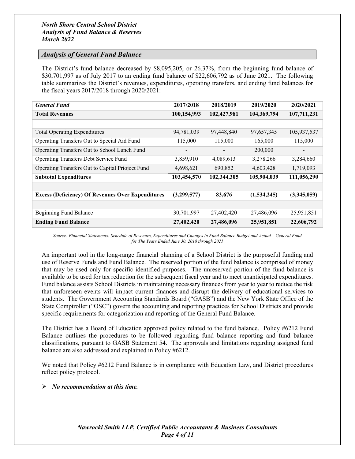## <span id="page-3-0"></span>*Analysis of General Fund Balance*

The District's fund balance decreased by \$8,095,205, or 26.37%, from the beginning fund balance of \$30,701,997 as of July 2017 to an ending fund balance of \$22,606,792 as of June 2021. The following table summarizes the District's revenues, expenditures, operating transfers, and ending fund balances for the fiscal years 2017/2018 through 2020/2021:

| <b>General Fund</b>                                      | 2017/2018   | 2018/2019   | 2019/2020   | 2020/2021   |
|----------------------------------------------------------|-------------|-------------|-------------|-------------|
| <b>Total Revenues</b>                                    | 100,154,993 | 102,427,981 | 104,369,794 | 107,711,231 |
|                                                          |             |             |             |             |
| <b>Total Operating Expenditures</b>                      | 94,781,039  | 97,448,840  | 97,657,345  | 105,937,537 |
| Operating Transfers Out to Special Aid Fund              | 115,000     | 115,000     | 165,000     | 115,000     |
| Operating Transfers Out to School Lunch Fund             |             |             | 200,000     |             |
| Operating Transfers Debt Service Fund                    | 3,859,910   | 4,089,613   | 3,278,266   | 3,284,660   |
| Operating Transfers Out to Capital Prioject Fund         | 4,698,621   | 690,852     | 4,603,428   | 1,719,093   |
| <b>Subtotal Expenditures</b>                             | 103,454,570 | 102,344,305 | 105,904,039 | 111,056,290 |
|                                                          |             |             |             |             |
| <b>Excess (Deficiency) Of Revenues Over Expenditures</b> | (3,299,577) | 83,676      | (1,534,245) | (3,345,059) |
|                                                          |             |             |             |             |
| Beginning Fund Balance                                   | 30,701,997  | 27,402,420  | 27,486,096  | 25,951,851  |
| <b>Ending Fund Balance</b>                               | 27,402,420  | 27,486,096  | 25,951,851  | 22,606,792  |

*Source: Financial Statements: Schedule of Revenues, Expenditures and Changes in Fund Balance Budget and Actual – General Fund for The Years Ended June 30, 2018 through 2021*

An important tool in the long-range financial planning of a School District is the purposeful funding and use of Reserve Funds and Fund Balance. The reserved portion of the fund balance is comprised of money that may be used only for specific identified purposes. The unreserved portion of the fund balance is available to be used for tax reduction for the subsequent fiscal year and to meet unanticipated expenditures. Fund balance assists School Districts in maintaining necessary finances from year to year to reduce the risk that unforeseen events will impact current finances and disrupt the delivery of educational services to students. The Government Accounting Standards Board ("GASB") and the New York State Office of the State Comptroller ("OSC") govern the accounting and reporting practices for School Districts and provide specific requirements for categorization and reporting of the General Fund Balance.

The District has a Board of Education approved policy related to the fund balance. Policy #6212 Fund Balance outlines the procedures to be followed regarding fund balance reporting and fund balance classifications, pursuant to GASB Statement 54. The approvals and limitations regarding assigned fund balance are also addressed and explained in Policy #6212.

We noted that Policy #6212 Fund Balance is in compliance with Education Law, and District procedures reflect policy protocol.

#### *No recommendation at this time.*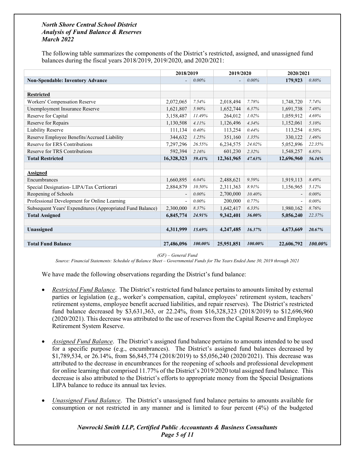The following table summarizes the components of the District's restricted, assigned, and unassigned fund balances during the fiscal years 2018/2019, 2019/2020, and 2020/2021:

|                                                            | 2018/2019                |          | 2019/2020                |         | 2020/2021                |          |
|------------------------------------------------------------|--------------------------|----------|--------------------------|---------|--------------------------|----------|
| <b>Non-Spendable: Inventory Advance</b><br>$\overline{a}$  |                          | 0.00%    | $\overline{\phantom{a}}$ | 0.00%   | 179,923                  | 0.80%    |
|                                                            |                          |          |                          |         |                          |          |
| <b>Restricted</b>                                          |                          |          |                          |         |                          |          |
| Workers' Compensation Reserve                              | 2,072,065                | 7.54%    | 2,018,494                | 7.78%   | 1,748,720                | 7.74%    |
| Unemployment Insurance Reserve                             | 1,621,807                | 5.90%    | 1,652,744                | 6.37%   | 1,691,738                | 7.48%    |
| Reserve for Capital                                        | 3,158,487                | 11.49%   | 264,012                  | 1.02%   | 1,059,912                | 4.69%    |
| Reserve for Repairs                                        | 1,130,508                | 4.11%    | 1,126,496                | 4.34%   | 1,152,061                | 5.10%    |
| <b>Liability Reserve</b>                                   | 111,134                  | 0.40%    | 113,254                  | 0.44%   | 113,254                  | 0.50%    |
| Reserve Employee Benefits/Accrued Liability                | 344,632                  | 1.25%    | 351,160                  | 1.35%   | 330,122                  | 1.46%    |
| Reserve for ERS Contributions                              | 7,297,296                | 26.55%   | 6,234,575                | 24.02%  | 5,052,896                | 22.35%   |
| Reserve for TRS Contributions                              | 592,394                  | 2.16%    | 601,230                  | 2.32%   | 1,548,257                | 6.85%    |
| <b>Total Restricted</b>                                    | 16,328,323               | 59.41%   | 12,361,965               | 47.63%  | 12,696,960               | 56.16%   |
|                                                            |                          |          |                          |         |                          |          |
| <b>Assigned</b>                                            |                          |          |                          |         |                          |          |
| Encumbrances                                               | 1,660,895                | 6.04%    | 2,488,621                | 9.59%   | 1,919,113                | 8.49%    |
| Special Designation-LIPA/Tax Certiorari                    | 2,884,879                | 10.50%   | 2,311,363                | 8.91%   | 1,156,965                | 5.12%    |
| Reopening of Schools                                       | $\overline{\phantom{a}}$ | $0.00\%$ | 2,700,000                | 10.40%  | $\overline{\phantom{a}}$ | $0.00\%$ |
| Professional Development for Online Learning               | $\overline{\phantom{a}}$ | $0.00\%$ | 200,000                  | 0.77%   |                          | $0.00\%$ |
| Subsequent Years' Expenditures (Appropriated Fund Balance) | 2,300,000                | 8.37%    | 1,642,417                | 6.33%   | 1,980,162                | 8.76%    |
| <b>Total Assigned</b>                                      | 6,845,774                | 24.91%   | 9,342,401                | 36.00%  | 5,056,240                | 22.37%   |
|                                                            |                          |          |                          |         |                          |          |
| Unassigned                                                 | 4,311,999                | 15.69%   | 4,247,485                | 16.37%  | 4,673,669                | 20.67%   |
|                                                            |                          |          |                          |         |                          |          |
| <b>Total Fund Balance</b>                                  | 27,486,096               | 100.00%  | 25,951,851               | 100.00% | 22,606,792               | 100.00%  |

*(GF) – General Fund*

*Source: Financial Statements: Schedule of Balance Sheet – Governmental Funds for The Years Ended June 30, 2019 through 2021*

We have made the following observations regarding the District's fund balance:

- *Restricted Fund Balance*. The District's restricted fund balance pertains to amounts limited by external parties or legislation (e.g., worker's compensation, capital, employees' retirement system, teachers' retirement systems, employee benefit accrued liabilities, and repair reserves). The District's restricted fund balance decreased by \$3,631,363, or 22.24%, from \$16,328,323 (2018/2019) to \$12,696,960 (2020/2021). This decrease was attributed to the use of reserves from the Capital Reserve and Employee Retirement System Reserve.
- *Assigned Fund Balance*. The District's assigned fund balance pertains to amounts intended to be used for a specific purpose (e.g., encumbrances). The District's assigned fund balances decreased by \$1,789,534, or 26.14%, from \$6,845,774 (2018/2019) to \$5,056,240 (2020/2021). This decrease was attributed to the decrease in encumbrances for the reopening of schools and professional development for online learning that comprised 11.77% of the District's 2019/2020 total assigned fund balance. This decrease is also attributed to the District's efforts to appropriate money from the Special Designations LIPA balance to reduce its annual tax levies.
- *Unassigned Fund Balance*. The District's unassigned fund balance pertains to amounts available for consumption or not restricted in any manner and is limited to four percent (4%) of the budgeted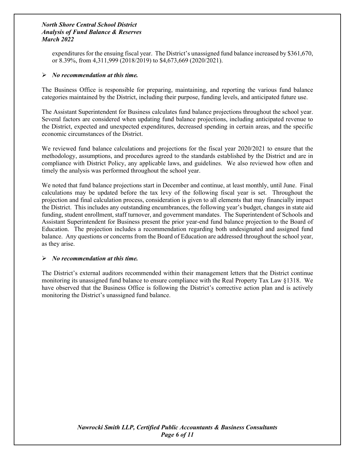expenditures for the ensuing fiscal year. The District's unassigned fund balance increased by \$361,670, or 8.39%, from 4,311,999 (2018/2019) to \$4,673,669 (2020/2021).

## *No recommendation at this time.*

The Business Office is responsible for preparing, maintaining, and reporting the various fund balance categories maintained by the District, including their purpose, funding levels, and anticipated future use.

The Assistant Superintendent for Business calculates fund balance projections throughout the school year. Several factors are considered when updating fund balance projections, including anticipated revenue to the District, expected and unexpected expenditures, decreased spending in certain areas, and the specific economic circumstances of the District.

We reviewed fund balance calculations and projections for the fiscal year 2020/2021 to ensure that the methodology, assumptions, and procedures agreed to the standards established by the District and are in compliance with District Policy, any applicable laws, and guidelines. We also reviewed how often and timely the analysis was performed throughout the school year.

We noted that fund balance projections start in December and continue, at least monthly, until June. Final calculations may be updated before the tax levy of the following fiscal year is set. Throughout the projection and final calculation process, consideration is given to all elements that may financially impact the District. This includes any outstanding encumbrances, the following year's budget, changes in state aid funding, student enrollment, staff turnover, and government mandates. The Superintendent of Schools and Assistant Superintendent for Business present the prior year-end fund balance projection to the Board of Education. The projection includes a recommendation regarding both undesignated and assigned fund balance. Any questions or concerns from the Board of Education are addressed throughout the school year, as they arise.

## *No recommendation at this time.*

The District's external auditors recommended within their management letters that the District continue monitoring its unassigned fund balance to ensure compliance with the Real Property Tax Law §1318. We have observed that the Business Office is following the District's corrective action plan and is actively monitoring the District's unassigned fund balance.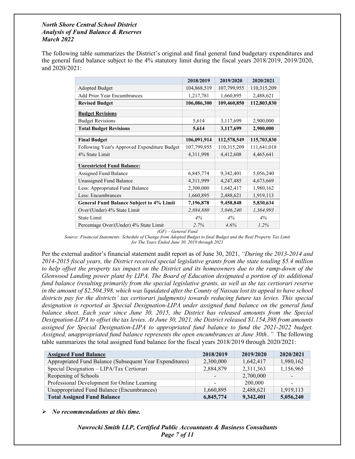The following table summarizes the District's original and final general fund budgetary expenditures and the general fund balance subject to the 4% statutory limit during the fiscal years 2018/2019, 2019/2020, and 2020/2021:

|                                                 | 2018/2019   | 2019/2020   | 2020/2021   |
|-------------------------------------------------|-------------|-------------|-------------|
| <b>Adopted Budget</b>                           | 104,868,519 | 107,799,955 | 110,315,209 |
| <b>Add Prior Year Encumbrances</b>              | 1,217,781   | 1,660,895   | 2,488,621   |
| <b>Revised Budget</b>                           | 106,086,300 | 109,460,850 | 112,803,830 |
| <b>Budget Revisions</b>                         |             |             |             |
| <b>Budget Revisions</b>                         | 5,614       | 3,117,699   | 2,900,000   |
| <b>Total Budget Revisions</b>                   | 5,614       | 3,117,699   | 2,900,000   |
|                                                 |             |             |             |
| <b>Final Budget</b>                             | 106,091,914 | 112,578,549 | 115,703,830 |
| Following Year's Approved Expenditure Budget    | 107,799,955 | 110,315,209 | 111,641,018 |
| 4% State Limit                                  | 4,311,998   | 4,412,608   | 4,465,641   |
| <b>Unrestricted Fund Balance:</b>               |             |             |             |
| Assigned Fund Balance                           | 6,845,774   | 9,342,401   | 5,056,240   |
| Unassigned Fund Balance                         | 4,311,999   | 4,247,485   | 4,673,669   |
| Less: Appropriated Fund Balance                 | 2,300,000   | 1,642,417   | 1,980,162   |
| Less: Encumbrances                              | 1,660,895   | 2,488,621   | 1,919,113   |
| <b>General Fund Balance Subject to 4% Limit</b> | 7,196,878   | 9,458,848   | 5,830,634   |
| Over/(Under) 4% State Limit                     | 2,884,880   | 5,046,240   | 1,364,993   |
| State Limit                                     | 4%          | 4%          | 4%          |
| Percentage Over/(Under) 4% State Limit          | 2.7%        | 4.6%        | 1.2%        |

*(GF) – General Fund*

*Source: Financial Statements: Schedule of Change from Adopted Budget to final Budget and the Real Property Tax Limit for The Years Ended June 30, 2019 through 2021*

Per the external auditor's financial statement audit report as of June 30, 2021, *"During the 2013-2014 and 2014-2015 fiscal years, the District received special legislative grants from the state totaling \$5.4 million to help offset the property tax impact on the District and its homeowners due to the ramp-down of the Glenwood Landing power plant by LIPA. The Board of Education designated a portion of its additional fund balance (resulting primarily from the special legislative grants, as well as the tax certiorari reserve in the amount of \$2,504,398, which was liquidated after the County of Nassau lost its appeal to have school districts pay for the districts' tax certiorari judgments) towards reducing future tax levies. This special designation is reported as Special Designation-LIPA under assigned fund balance on the general fund balance sheet. Each year since June 30, 2015, the District has released amounts from the Special Designation-LIPA to offset the tax levies. At June 30, 2021, the District released \$1,154,398 from amounts assigned for Special Designation-LIPA to appropriated fund balance to fund the 2021-2022 budget. Assigned, unappropriated fund balance represents the open encumbrances at June 30th.."* The following table summarizes the total assigned fund balance for the fiscal years 2018/2019 through 2020/2021:

| <b>Assigned Fund Balance</b>                             | 2018/2019 | 2019/2020 | 2020/2021 |
|----------------------------------------------------------|-----------|-----------|-----------|
| Appropriated Fund Balance (Subsequent Year Expenditures) | 2,300,000 | 1,642,417 | 1,980,162 |
| Special Designation - LIPA/Tax Certiorari                | 2,884,879 | 2,311,363 | 1,156,965 |
| Reopening of Schools                                     |           | 2,700,000 |           |
| Professional Development for Online Learning             |           | 200,000   |           |
| Unappropriated Fund Balance (Encumbrances)               | 1,660,895 | 2,488,621 | 1,919,113 |
| <b>Total Assigned Fund Balance</b>                       | 6,845,774 | 9,342,401 | 5,056,240 |

*No recommendations at this time.*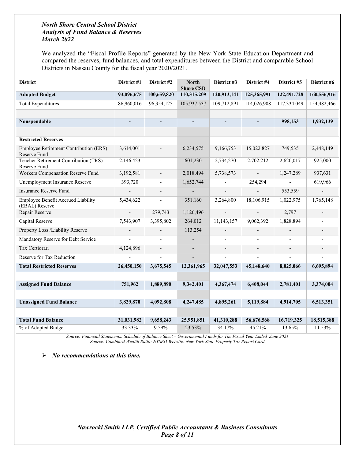We analyzed the "Fiscal Profile Reports" generated by the New York State Education Department and compared the reserves, fund balances, and total expenditures between the District and comparable School Districts in Nassau County for the fiscal year 2020/2021.

| <b>District</b>                                               | District #1              | District #2    | <b>North</b><br><b>Shore CSD</b> | District #3              | District #4              | District #5    | District #6              |
|---------------------------------------------------------------|--------------------------|----------------|----------------------------------|--------------------------|--------------------------|----------------|--------------------------|
| <b>Adopted Budget</b>                                         | 93,096,675               | 100,659,820    | 110,315,209                      | 120,913,141              | 125,365,991              | 122,491,728    | 160,556,916              |
| <b>Total Expenditures</b>                                     | 86,960,016               | 96,354,125     | 105,937,537                      | 109,712,891              | 114,026,908              | 117,334,049    | 154,482,466              |
|                                                               |                          |                |                                  |                          |                          |                |                          |
| Nonspendable                                                  | $\overline{\phantom{a}}$ | $\overline{a}$ | $\overline{\phantom{0}}$         | $\overline{\phantom{a}}$ | $\overline{\phantom{a}}$ | 998,153        | 1,932,139                |
|                                                               |                          |                |                                  |                          |                          |                |                          |
| <b>Restricted Reserves</b>                                    |                          |                |                                  |                          |                          |                |                          |
| <b>Employee Retirement Contribution (ERS)</b><br>Reserve Fund | 3,614,001                |                | 6,234,575                        | 9,166,753                | 15,022,827               | 749,535        | 2,448,149                |
| <b>Teacher Retirement Contribution (TRS)</b><br>Reserve Fund  | 2,146,423                | $\overline{a}$ | 601,230                          | 2,734,270                | 2,702,212                | 2,620,017      | 925,000                  |
| Workers Compensation Reserve Fund                             | 3,192,581                | $\overline{a}$ | 2,018,494                        | 5,738,573                | $\overline{\phantom{a}}$ | 1,247,289      | 937,631                  |
| Unemployment Insurance Reserve                                | 393,720                  | $\overline{a}$ | 1,652,744                        |                          | 254,294                  |                | 619,966                  |
| <b>Insurance Reserve Fund</b>                                 |                          | $\overline{a}$ |                                  | $\overline{a}$           | $\overline{a}$           | 553,559        | $\mathbf{r}$             |
| Employee Benefit Accrued Liability<br>(EBAL) Reserve          | 5,434,622                | $\overline{a}$ | 351,160                          | 3,264,800                | 18,106,915               | 1,022,975      | 1,765,148                |
| Repair Reserve                                                | $\overline{a}$           | 279,743        | 1,126,496                        | $\overline{a}$           |                          | 2,797          |                          |
| Capital Reserve                                               | 7,543,907                | 3,395,802      | 264,012                          | 11,143,157               | 9,062,392                | 1,828,894      | $\blacksquare$           |
| Property Loss /Liability Reserve                              | $\overline{\phantom{a}}$ |                | 113,254                          | $\overline{\phantom{a}}$ |                          |                | $\overline{\phantom{a}}$ |
| Mandatory Reserve for Debt Service                            |                          |                |                                  | $\overline{\phantom{a}}$ |                          |                | $\overline{\phantom{0}}$ |
| Tax Certiorari                                                | 4,124,896                | $\overline{a}$ |                                  | $\overline{a}$           | $\overline{a}$           | $\overline{a}$ | $\overline{\phantom{a}}$ |
| Reserve for Tax Reduction                                     |                          |                |                                  |                          |                          |                |                          |
| <b>Total Restricted Reserves</b>                              | 26,450,150               | 3,675,545      | 12,361,965                       | 32,047,553               | 45,148,640               | 8,025,066      | 6,695,894                |
|                                                               |                          |                |                                  |                          |                          |                |                          |
| <b>Assigned Fund Balance</b>                                  | 751,962                  | 1,889,890      | 9,342,401                        | 4,367,474                | 6,408,044                | 2,781,401      | 3,374,004                |
|                                                               |                          |                |                                  |                          |                          |                |                          |
| <b>Unassigned Fund Balance</b>                                | 3,829,870                | 4,092,808      | 4,247,485                        | 4,895,261                | 5,119,884                | 4,914,705      | 6,513,351                |
|                                                               |                          |                |                                  |                          |                          |                |                          |
| <b>Total Fund Balance</b>                                     | 31,031,982               | 9,658,243      | 25,951,851                       | 41,310,288               | 56,676,568               | 16,719,325     | 18,515,388               |
| % of Adopted Budget                                           | 33.33%                   | 9.59%          | 23.53%                           | 34.17%                   | 45.21%                   | 13.65%         | 11.53%                   |

*Source: Financial Statements: Schedule of Balance Sheet – Governmental Funds for The Fiscal Year Ended June 2021 Source: Combined Wealth Ratio: NYSED Website: New York State Property Tax Report Card*

*No recommendations at this time.*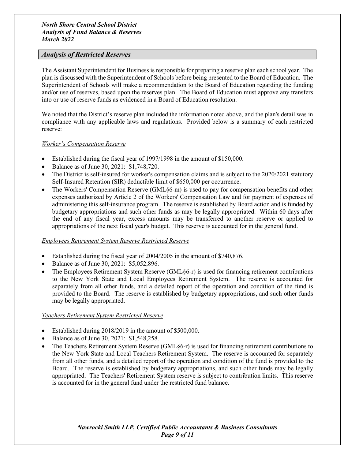## <span id="page-8-0"></span>*Analysis of Restricted Reserves*

The Assistant Superintendent for Business is responsible for preparing a reserve plan each school year. The plan is discussed with the Superintendent of Schools before being presented to the Board of Education. The Superintendent of Schools will make a recommendation to the Board of Education regarding the funding and/or use of reserves, based upon the reserves plan. The Board of Education must approve any transfers into or use of reserve funds as evidenced in a Board of Education resolution.

We noted that the District's reserve plan included the information noted above, and the plan's detail was in compliance with any applicable laws and regulations. Provided below is a summary of each restricted reserve:

#### *Worker's Compensation Reserve*

- Established during the fiscal year of 1997/1998 in the amount of \$150,000.
- Balance as of June 30, 2021: \$1,748,720.
- The District is self-insured for worker's compensation claims and is subject to the 2020/2021 statutory Self-Insured Retention (SIR) deductible limit of \$650,000 per occurrence.
- The Workers' Compensation Reserve (GML $\S6$ -m) is used to pay for compensation benefits and other expenses authorized by Article 2 of the Workers' Compensation Law and for payment of expenses of administering this self-insurance program. The reserve is established by Board action and is funded by budgetary appropriations and such other funds as may be legally appropriated. Within 60 days after the end of any fiscal year, excess amounts may be transferred to another reserve or applied to appropriations of the next fiscal year's budget. This reserve is accounted for in the general fund.

## *Employees Retirement System Reserve Restricted Reserve*

- Established during the fiscal year of 2004/2005 in the amount of \$740,876.
- Balance as of June 30, 2021: \$5,052,896.
- The Employees Retirement System Reserve (GML§6-r) is used for financing retirement contributions to the New York State and Local Employees Retirement System. The reserve is accounted for separately from all other funds, and a detailed report of the operation and condition of the fund is provided to the Board. The reserve is established by budgetary appropriations, and such other funds may be legally appropriated.

#### *Teachers Retirement System Restricted Reserve*

- Established during 2018/2019 in the amount of \$500,000.
- Balance as of June 30, 2021: \$1,548,258.
- The Teachers Retirement System Reserve (GML§6-r) is used for financing retirement contributions to the New York State and Local Teachers Retirement System. The reserve is accounted for separately from all other funds, and a detailed report of the operation and condition of the fund is provided to the Board. The reserve is established by budgetary appropriations, and such other funds may be legally appropriated. The Teachers' Retirement System reserve is subject to contribution limits. This reserve is accounted for in the general fund under the restricted fund balance.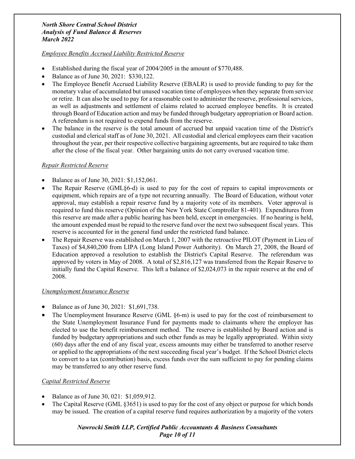## *Employee Benefits Accrued Liability Restricted Reserve*

- Established during the fiscal year of 2004/2005 in the amount of \$770,488.
- Balance as of June 30, 2021: \$330,122.
- The Employee Benefit Accrued Liability Reserve (EBALR) is used to provide funding to pay for the monetary value of accumulated but unused vacation time of employees when they separate from service or retire. It can also be used to pay for a reasonable cost to administer the reserve, professional services, as well as adjustments and settlement of claims related to accrued employee benefits. It is created through Board of Education action and may be funded through budgetary appropriation or Board action. A referendum is not required to expend funds from the reserve.
- The balance in the reserve is the total amount of accrued but unpaid vacation time of the District's custodial and clerical staff as of June 30, 2021. All custodial and clerical employees earn their vacation throughout the year, per their respective collective bargaining agreements, but are required to take them after the close of the fiscal year. Other bargaining units do not carry overused vacation time.

## *Repair Restricted Reserve*

- Balance as of June 30, 2021: \$1,152,061.
- The Repair Reserve (GML§6-d) is used to pay for the cost of repairs to capital improvements or equipment, which repairs are of a type not recurring annually. The Board of Education, without voter approval, may establish a repair reserve fund by a majority vote of its members. Voter approval is required to fund this reserve (Opinion of the New York State Comptroller 81-401). Expenditures from this reserve are made after a public hearing has been held, except in emergencies. If no hearing is held, the amount expended must be repaid to the reserve fund over the next two subsequent fiscal years. This reserve is accounted for in the general fund under the restricted fund balance.
- The Repair Reserve was established on March 1, 2007 with the retroactive PILOT (Payment in Lieu of Taxes) of \$4,840,200 from LIPA (Long Island Power Authority). On March 27, 2008, the Board of Education approved a resolution to establish the District's Capital Reserve. The referendum was approved by voters in May of 2008. A total of \$2,816,127 was transferred from the Repair Reserve to initially fund the Capital Reserve. This left a balance of \$2,024,073 in the repair reserve at the end of 2008.

## *Unemployment Insurance Reserve*

- Balance as of June 30, 2021: \$1,691,738.
- The Unemployment Insurance Reserve (GML  $\S6$ -m) is used to pay for the cost of reimbursement to the State Unemployment Insurance Fund for payments made to claimants where the employer has elected to use the benefit reimbursement method. The reserve is established by Board action and is funded by budgetary appropriations and such other funds as may be legally appropriated. Within sixty (60) days after the end of any fiscal year, excess amounts may either be transferred to another reserve or applied to the appropriations of the next succeeding fiscal year's budget. If the School District elects to convert to a tax (contribution) basis, excess funds over the sum sufficient to pay for pending claims may be transferred to any other reserve fund.

## *Capital Restricted Reserve*

- Balance as of June 30, 021: \$1,059,912.
- The Capital Reserve (GML §3651) is used to pay for the cost of any object or purpose for which bonds may be issued. The creation of a capital reserve fund requires authorization by a majority of the voters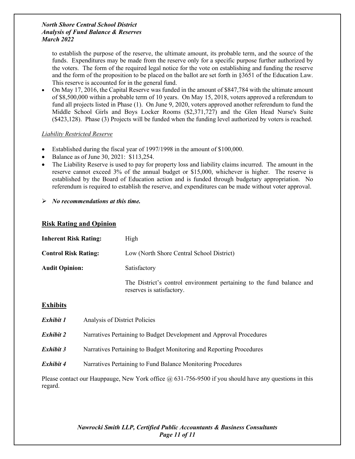to establish the purpose of the reserve, the ultimate amount, its probable term, and the source of the funds. Expenditures may be made from the reserve only for a specific purpose further authorized by the voters. The form of the required legal notice for the vote on establishing and funding the reserve and the form of the proposition to be placed on the ballot are set forth in §3651 of the Education Law. This reserve is accounted for in the general fund.

• On May 17, 2016, the Capital Reserve was funded in the amount of \$847,784 with the ultimate amount of \$8,500,000 within a probable term of 10 years. On May 15, 2018, voters approved a referendum to fund all projects listed in Phase (1). On June 9, 2020, voters approved another referendum to fund the Middle School Girls and Boys Locker Rooms (\$2,371,727) and the Glen Head Nurse's Suite (\$423,128). Phase (3) Projects will be funded when the funding level authorized by voters is reached.

## *Liability Restricted Reserve*

- Established during the fiscal year of 1997/1998 in the amount of \$100,000.
- Balance as of June 30, 2021: \$113,254.
- The Liability Reserve is used to pay for property loss and liability claims incurred. The amount in the reserve cannot exceed 3% of the annual budget or \$15,000, whichever is higher. The reserve is established by the Board of Education action and is funded through budgetary appropriation. No referendum is required to establish the reserve, and expenditures can be made without voter approval.
- *No recommendations at this time.*

## <span id="page-10-0"></span>**Risk Rating and Opinion**

| <b>Inherent Risk Rating:</b> | High                                                                                               |
|------------------------------|----------------------------------------------------------------------------------------------------|
| <b>Control Risk Rating:</b>  | Low (North Shore Central School District)                                                          |
| <b>Audit Opinion:</b>        | Satisfactory                                                                                       |
|                              | The District's control environment pertaining to the fund balance and<br>reserves is satisfactory. |
| $\Gamma$ vkikita             |                                                                                                    |

## <span id="page-10-1"></span>**Exhibits**

| Exhibit 1 | Analysis of District Policies                                       |
|-----------|---------------------------------------------------------------------|
| Exhibit 2 | Narratives Pertaining to Budget Development and Approval Procedures |
| Exhibit 3 | Narratives Pertaining to Budget Monitoring and Reporting Procedures |
| Exhibit 4 | Narratives Pertaining to Fund Balance Monitoring Procedures         |
|           |                                                                     |

Please contact our Hauppauge, New York office  $\omega$  631-756-9500 if you should have any questions in this regard.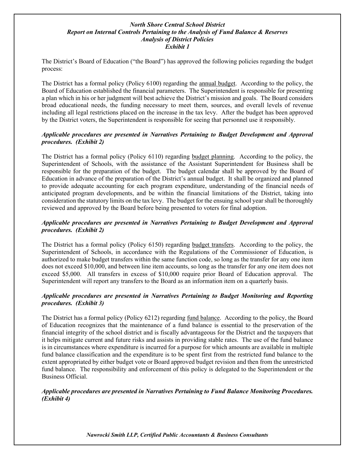## *North Shore Central School District Report on Internal Controls Pertaining to the Analysis of Fund Balance & Reserves Analysis of District Policies Exhibit 1*

The District's Board of Education ("the Board") has approved the following policies regarding the budget process:

The District has a formal policy (Policy 6100) regarding the annual budget. According to the policy, the Board of Education established the financial parameters. The Superintendent is responsible for presenting a plan which in his or her judgment will best achieve the District's mission and goals. The Board considers broad educational needs, the funding necessary to meet them, sources, and overall levels of revenue including all legal restrictions placed on the increase in the tax levy. After the budget has been approved by the District voters, the Superintendent is responsible for seeing that personnel use it responsibly.

## *Applicable procedures are presented in Narratives Pertaining to Budget Development and Approval procedures. (Exhibit 2)*

The District has a formal policy (Policy 6110) regarding budget planning. According to the policy, the Superintendent of Schools, with the assistance of the Assistant Superintendent for Business shall be responsible for the preparation of the budget. The budget calendar shall be approved by the Board of Education in advance of the preparation of the District's annual budget. It shall be organized and planned to provide adequate accounting for each program expenditure, understanding of the financial needs of anticipated program developments, and be within the financial limitations of the District, taking into consideration the statutory limits on the tax levy. The budget for the ensuing school year shall be thoroughly reviewed and approved by the Board before being presented to voters for final adoption.

## *Applicable procedures are presented in Narratives Pertaining to Budget Development and Approval procedures. (Exhibit 2)*

The District has a formal policy (Policy 6150) regarding budget transfers. According to the policy, the Superintendent of Schools, in accordance with the Regulations of the Commissioner of Education, is authorized to make budget transfers within the same function code, so long as the transfer for any one item does not exceed \$10,000, and between line item accounts, so long as the transfer for any one item does not exceed \$5,000. All transfers in excess of \$10,000 require prior Board of Education approval. The Superintendent will report any transfers to the Board as an information item on a quarterly basis.

## *Applicable procedures are presented in Narratives Pertaining to Budget Monitoring and Reporting procedures. (Exhibit 3)*

The District has a formal policy (Policy 6212) regarding fund balance. According to the policy, the Board of Education recognizes that the maintenance of a fund balance is essential to the preservation of the financial integrity of the school district and is fiscally advantageous for the District and the taxpayers that it helps mitigate current and future risks and assists in providing stable rates. The use of the fund balance is in circumstances where expenditure is incurred for a purpose for which amounts are available in multiple fund balance classification and the expenditure is to be spent first from the restricted fund balance to the extent appropriated by either budget vote or Board approved budget revision and then from the unrestricted fund balance. The responsibility and enforcement of this policy is delegated to the Superintendent or the Business Official.

## *Applicable procedures are presented in Narratives Pertaining to Fund Balance Monitoring Procedures. (Exhibit 4)*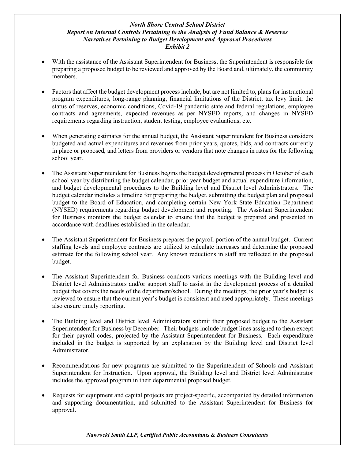## *North Shore Central School District Report on Internal Controls Pertaining to the Analysis of Fund Balance & Reserves Narratives Pertaining to Budget Development and Approval Procedures Exhibit 2*

- With the assistance of the Assistant Superintendent for Business, the Superintendent is responsible for preparing a proposed budget to be reviewed and approved by the Board and, ultimately, the community members.
- Factors that affect the budget development process include, but are not limited to, plans for instructional program expenditures, long-range planning, financial limitations of the District, tax levy limit, the status of reserves, economic conditions, Covid-19 pandemic state and federal regulations, employee contracts and agreements, expected revenues as per NYSED reports, and changes in NYSED requirements regarding instruction, student testing, employee evaluations, etc.
- When generating estimates for the annual budget, the Assistant Superintendent for Business considers budgeted and actual expenditures and revenues from prior years, quotes, bids, and contracts currently in place or proposed, and letters from providers or vendors that note changes in rates for the following school year.
- The Assistant Superintendent for Business begins the budget developmental process in October of each school year by distributing the budget calendar, prior year budget and actual expenditure information, and budget developmental procedures to the Building level and District level Administrators. The budget calendar includes a timeline for preparing the budget, submitting the budget plan and proposed budget to the Board of Education, and completing certain New York State Education Department (NYSED) requirements regarding budget development and reporting. The Assistant Superintendent for Business monitors the budget calendar to ensure that the budget is prepared and presented in accordance with deadlines established in the calendar.
- The Assistant Superintendent for Business prepares the payroll portion of the annual budget. Current staffing levels and employee contracts are utilized to calculate increases and determine the proposed estimate for the following school year. Any known reductions in staff are reflected in the proposed budget.
- The Assistant Superintendent for Business conducts various meetings with the Building level and District level Administrators and/or support staff to assist in the development process of a detailed budget that covers the needs of the department/school. During the meetings, the prior year's budget is reviewed to ensure that the current year's budget is consistent and used appropriately. These meetings also ensure timely reporting.
- The Building level and District level Administrators submit their proposed budget to the Assistant Superintendent for Business by December. Their budgets include budget lines assigned to them except for their payroll codes, projected by the Assistant Superintendent for Business. Each expenditure included in the budget is supported by an explanation by the Building level and District level Administrator.
- Recommendations for new programs are submitted to the Superintendent of Schools and Assistant Superintendent for Instruction. Upon approval, the Building level and District level Administrator includes the approved program in their departmental proposed budget.
- Requests for equipment and capital projects are project-specific, accompanied by detailed information and supporting documentation, and submitted to the Assistant Superintendent for Business for approval.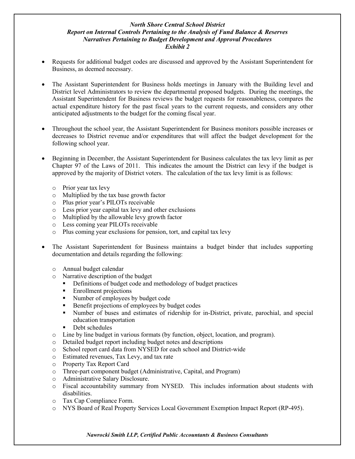## *North Shore Central School District Report on Internal Controls Pertaining to the Analysis of Fund Balance & Reserves Narratives Pertaining to Budget Development and Approval Procedures Exhibit 2*

- Requests for additional budget codes are discussed and approved by the Assistant Superintendent for Business, as deemed necessary.
- The Assistant Superintendent for Business holds meetings in January with the Building level and District level Administrators to review the departmental proposed budgets. During the meetings, the Assistant Superintendent for Business reviews the budget requests for reasonableness, compares the actual expenditure history for the past fiscal years to the current requests, and considers any other anticipated adjustments to the budget for the coming fiscal year.
- Throughout the school year, the Assistant Superintendent for Business monitors possible increases or decreases to District revenue and/or expenditures that will affect the budget development for the following school year.
- Beginning in December, the Assistant Superintendent for Business calculates the tax levy limit as per Chapter 97 of the Laws of 2011. This indicates the amount the District can levy if the budget is approved by the majority of District voters. The calculation of the tax levy limit is as follows:
	- o Prior year tax levy
	- o Multiplied by the tax base growth factor
	- o Plus prior year's PILOTs receivable
	- o Less prior year capital tax levy and other exclusions
	- o Multiplied by the allowable levy growth factor
	- o Less coming year PILOTs receivable
	- o Plus coming year exclusions for pension, tort, and capital tax levy
- The Assistant Superintendent for Business maintains a budget binder that includes supporting documentation and details regarding the following:
	- o Annual budget calendar
	- o Narrative description of the budget
		- **•** Definitions of budget code and methodology of budget practices
		- **Enrollment projections**
		- Number of employees by budget code
		- Benefit projections of employees by budget codes
		- Number of buses and estimates of ridership for in-District, private, parochial, and special education transportation
		- Debt schedules
	- o Line by line budget in various formats (by function, object, location, and program).
	- o Detailed budget report including budget notes and descriptions
	- o School report card data from NYSED for each school and District-wide
	- o Estimated revenues, Tax Levy, and tax rate
	- o Property Tax Report Card
	- o Three-part component budget (Administrative, Capital, and Program)
	- o Administrative Salary Disclosure.
	- o Fiscal accountability summary from NYSED. This includes information about students with disabilities.
	- o Tax Cap Compliance Form.
	- o NYS Board of Real Property Services Local Government Exemption Impact Report (RP-495).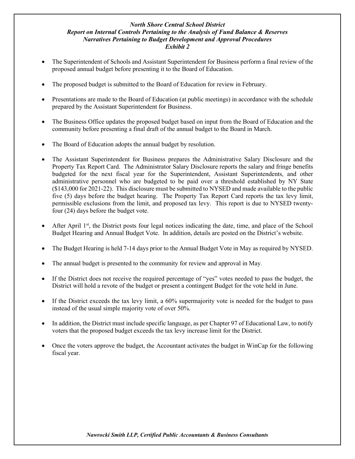## *North Shore Central School District Report on Internal Controls Pertaining to the Analysis of Fund Balance & Reserves Narratives Pertaining to Budget Development and Approval Procedures Exhibit 2*

- The Superintendent of Schools and Assistant Superintendent for Business perform a final review of the proposed annual budget before presenting it to the Board of Education.
- The proposed budget is submitted to the Board of Education for review in February.
- Presentations are made to the Board of Education (at public meetings) in accordance with the schedule prepared by the Assistant Superintendent for Business.
- The Business Office updates the proposed budget based on input from the Board of Education and the community before presenting a final draft of the annual budget to the Board in March.
- The Board of Education adopts the annual budget by resolution.
- The Assistant Superintendent for Business prepares the Administrative Salary Disclosure and the Property Tax Report Card. The Administrator Salary Disclosure reports the salary and fringe benefits budgeted for the next fiscal year for the Superintendent, Assistant Superintendents, and other administrative personnel who are budgeted to be paid over a threshold established by NY State (\$143,000 for 2021-22). This disclosure must be submitted to NYSED and made available to the public five (5) days before the budget hearing. The Property Tax Report Card reports the tax levy limit, permissible exclusions from the limit, and proposed tax levy. This report is due to NYSED twentyfour (24) days before the budget vote.
- After April  $1<sup>st</sup>$ , the District posts four legal notices indicating the date, time, and place of the School Budget Hearing and Annual Budget Vote. In addition, details are posted on the District's website.
- The Budget Hearing is held 7-14 days prior to the Annual Budget Vote in May as required by NYSED.
- The annual budget is presented to the community for review and approval in May.
- If the District does not receive the required percentage of "yes" votes needed to pass the budget, the District will hold a revote of the budget or present a contingent Budget for the vote held in June.
- If the District exceeds the tax levy limit, a 60% supermajority vote is needed for the budget to pass instead of the usual simple majority vote of over 50%.
- In addition, the District must include specific language, as per Chapter 97 of Educational Law, to notify voters that the proposed budget exceeds the tax levy increase limit for the District.
- Once the voters approve the budget, the Accountant activates the budget in WinCap for the following fiscal year.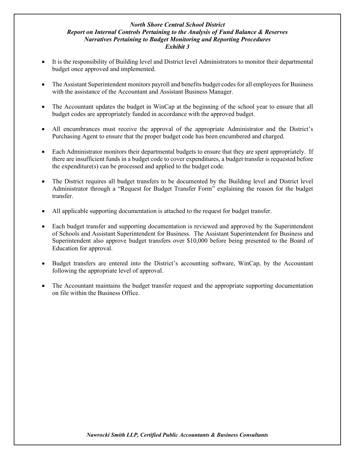## *North Shore Central School District Report on Internal Controls Pertaining to the Analysis of Fund Balance & Reserves Narratives Pertaining to Budget Monitoring and Reporting Procedures Exhibit 3*

- It is the responsibility of Building level and District level Administrators to monitor their departmental budget once approved and implemented.
- The Assistant Superintendent monitors payroll and benefits budget codes for all employees for Business with the assistance of the Accountant and Assistant Business Manager.
- The Accountant updates the budget in WinCap at the beginning of the school year to ensure that all budget codes are appropriately funded in accordance with the approved budget.
- All encumbrances must receive the approval of the appropriate Administrator and the District's Purchasing Agent to ensure that the proper budget code has been encumbered and charged.
- Each Administrator monitors their departmental budgets to ensure that they are spent appropriately. If there are insufficient funds in a budget code to cover expenditures, a budget transfer is requested before the expenditure(s) can be processed and applied to the budget code.
- The District requires all budget transfers to be documented by the Building level and District level Administrator through a "Request for Budget Transfer Form" explaining the reason for the budget transfer.
- All applicable supporting documentation is attached to the request for budget transfer.
- Each budget transfer and supporting documentation is reviewed and approved by the Superintendent of Schools and Assistant Superintendent for Business. The Assistant Superintendent for Business and Superintendent also approve budget transfers over \$10,000 before being presented to the Board of Education for approval.
- Budget transfers are entered into the District's accounting software, WinCap, by the Accountant following the appropriate level of approval.
- The Accountant maintains the budget transfer request and the appropriate supporting documentation on file within the Business Office.